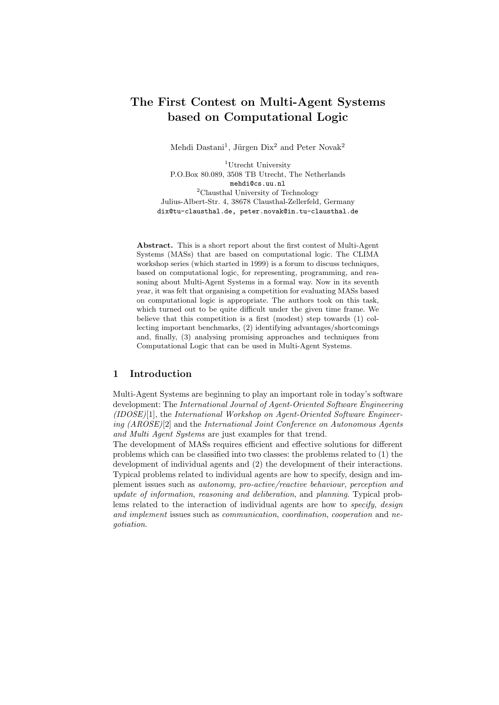# The First Contest on Multi-Agent Systems based on Computational Logic

Mehdi Dastani<sup>1</sup>, Jürgen Dix<sup>2</sup> and Peter Novak<sup>2</sup>

<sup>1</sup>Utrecht University P.O.Box 80.089, 3508 TB Utrecht, The Netherlands mehdi@cs.uu.nl <sup>2</sup>Clausthal University of Technology Julius-Albert-Str. 4, 38678 Clausthal-Zellerfeld, Germany dix@tu-clausthal.de, peter.novak@in.tu-clausthal.de

Abstract. This is a short report about the first contest of Multi-Agent Systems (MASs) that are based on computational logic. The CLIMA workshop series (which started in 1999) is a forum to discuss techniques, based on computational logic, for representing, programming, and reasoning about Multi-Agent Systems in a formal way. Now in its seventh year, it was felt that organising a competition for evaluating MASs based on computational logic is appropriate. The authors took on this task, which turned out to be quite difficult under the given time frame. We believe that this competition is a first (modest) step towards (1) collecting important benchmarks, (2) identifying advantages/shortcomings and, finally, (3) analysing promising approaches and techniques from Computational Logic that can be used in Multi-Agent Systems.

# 1 Introduction

Multi-Agent Systems are beginning to play an important role in today's software development: The International Journal of Agent-Oriented Software Engineering (IDOSE)[1], the International Workshop on Agent-Oriented Software Engineering (AROSE)[2] and the International Joint Conference on Autonomous Agents and Multi Agent Systems are just examples for that trend.

The development of MASs requires efficient and effective solutions for different problems which can be classified into two classes: the problems related to (1) the development of individual agents and (2) the development of their interactions. Typical problems related to individual agents are how to specify, design and implement issues such as autonomy, pro-active/reactive behaviour, perception and update of information, reasoning and deliberation, and planning. Typical problems related to the interaction of individual agents are how to specify, design and implement issues such as communication, coordination, cooperation and negotiation.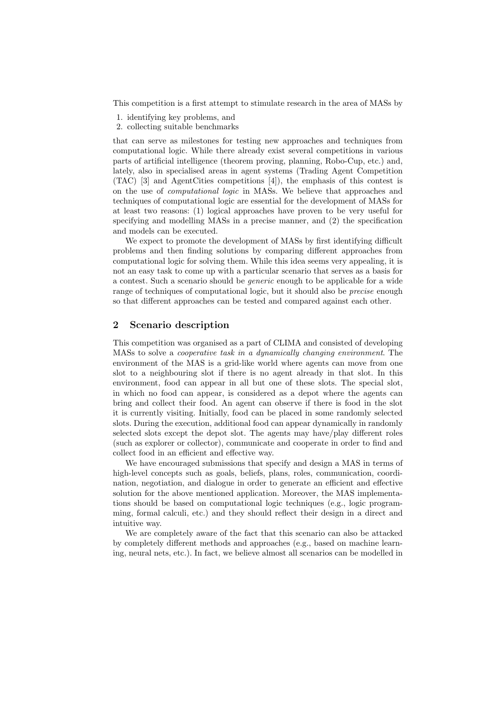This competition is a first attempt to stimulate research in the area of MASs by

- 1. identifying key problems, and
- 2. collecting suitable benchmarks

that can serve as milestones for testing new approaches and techniques from computational logic. While there already exist several competitions in various parts of artificial intelligence (theorem proving, planning, Robo-Cup, etc.) and, lately, also in specialised areas in agent systems (Trading Agent Competition (TAC) [3] and AgentCities competitions [4]), the emphasis of this contest is on the use of computational logic in MASs. We believe that approaches and techniques of computational logic are essential for the development of MASs for at least two reasons: (1) logical approaches have proven to be very useful for specifying and modelling MASs in a precise manner, and (2) the specification and models can be executed.

We expect to promote the development of MASs by first identifying difficult problems and then finding solutions by comparing different approaches from computational logic for solving them. While this idea seems very appealing, it is not an easy task to come up with a particular scenario that serves as a basis for a contest. Such a scenario should be generic enough to be applicable for a wide range of techniques of computational logic, but it should also be *precise* enough so that different approaches can be tested and compared against each other.

# 2 Scenario description

This competition was organised as a part of CLIMA and consisted of developing MASs to solve a cooperative task in a dynamically changing environment. The environment of the MAS is a grid-like world where agents can move from one slot to a neighbouring slot if there is no agent already in that slot. In this environment, food can appear in all but one of these slots. The special slot, in which no food can appear, is considered as a depot where the agents can bring and collect their food. An agent can observe if there is food in the slot it is currently visiting. Initially, food can be placed in some randomly selected slots. During the execution, additional food can appear dynamically in randomly selected slots except the depot slot. The agents may have/play different roles (such as explorer or collector), communicate and cooperate in order to find and collect food in an efficient and effective way.

We have encouraged submissions that specify and design a MAS in terms of high-level concepts such as goals, beliefs, plans, roles, communication, coordination, negotiation, and dialogue in order to generate an efficient and effective solution for the above mentioned application. Moreover, the MAS implementations should be based on computational logic techniques (e.g., logic programming, formal calculi, etc.) and they should reflect their design in a direct and intuitive way.

We are completely aware of the fact that this scenario can also be attacked by completely different methods and approaches (e.g., based on machine learning, neural nets, etc.). In fact, we believe almost all scenarios can be modelled in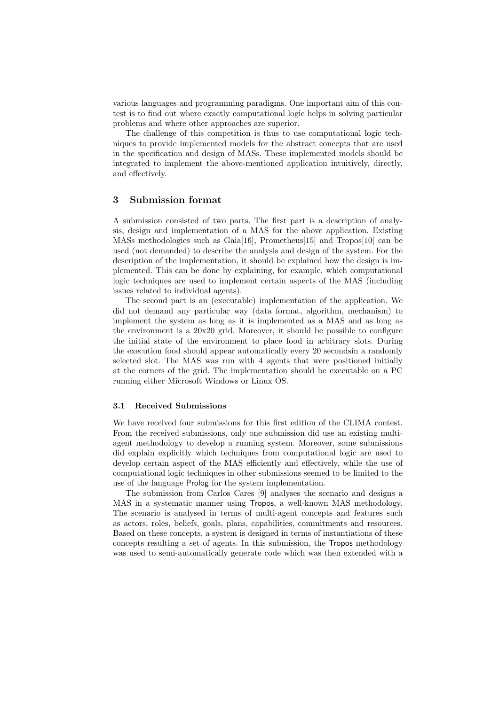various languages and programming paradigms. One important aim of this contest is to find out where exactly computational logic helps in solving particular problems and where other approaches are superior.

The challenge of this competition is thus to use computational logic techniques to provide implemented models for the abstract concepts that are used in the specification and design of MASs. These implemented models should be integrated to implement the above-mentioned application intuitively, directly, and effectively.

# 3 Submission format

A submission consisted of two parts. The first part is a description of analysis, design and implementation of a MAS for the above application. Existing MASs methodologies such as Gaia[16], Prometheus[15] and Tropos[10] can be used (not demanded) to describe the analysis and design of the system. For the description of the implementation, it should be explained how the design is implemented. This can be done by explaining, for example, which computational logic techniques are used to implement certain aspects of the MAS (including issues related to individual agents).

The second part is an (executable) implementation of the application. We did not demand any particular way (data format, algorithm, mechanism) to implement the system as long as it is implemented as a MAS and as long as the environment is a 20x20 grid. Moreover, it should be possible to configure the initial state of the environment to place food in arbitrary slots. During the execution food should appear automatically every 20 secondsin a randomly selected slot. The MAS was run with 4 agents that were positioned initially at the corners of the grid. The implementation should be executable on a PC running either Microsoft Windows or Linux OS.

#### 3.1 Received Submissions

We have received four submissions for this first edition of the CLIMA contest. From the received submissions, only one submission did use an existing multiagent methodology to develop a running system. Moreover, some submissions did explain explicitly which techniques from computational logic are used to develop certain aspect of the MAS efficiently and effectively, while the use of computational logic techniques in other submissions seemed to be limited to the use of the language Prolog for the system implementation.

The submission from Carlos Cares [9] analyses the scenario and designs a MAS in a systematic manner using Tropos, a well-known MAS methodology. The scenario is analysed in terms of multi-agent concepts and features such as actors, roles, beliefs, goals, plans, capabilities, commitments and resources. Based on these concepts, a system is designed in terms of instantiations of these concepts resulting a set of agents. In this submission, the Tropos methodology was used to semi-automatically generate code which was then extended with a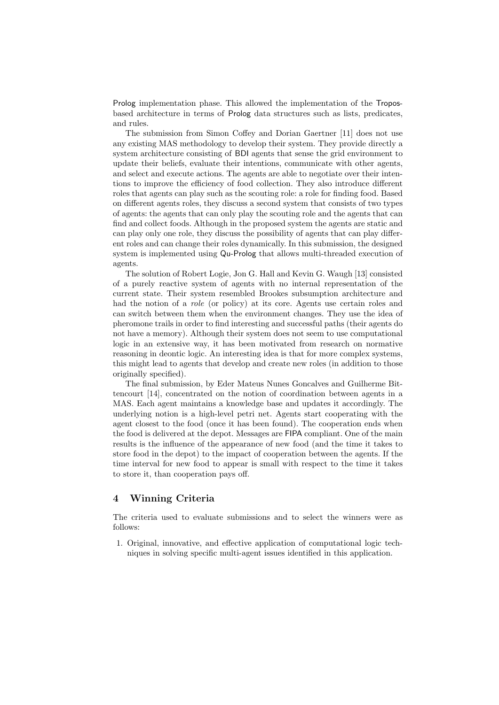Prolog implementation phase. This allowed the implementation of the Troposbased architecture in terms of Prolog data structures such as lists, predicates, and rules.

The submission from Simon Coffey and Dorian Gaertner [11] does not use any existing MAS methodology to develop their system. They provide directly a system architecture consisting of BDI agents that sense the grid environment to update their beliefs, evaluate their intentions, communicate with other agents, and select and execute actions. The agents are able to negotiate over their intentions to improve the efficiency of food collection. They also introduce different roles that agents can play such as the scouting role: a role for finding food. Based on different agents roles, they discuss a second system that consists of two types of agents: the agents that can only play the scouting role and the agents that can find and collect foods. Although in the proposed system the agents are static and can play only one role, they discuss the possibility of agents that can play different roles and can change their roles dynamically. In this submission, the designed system is implemented using Qu-Prolog that allows multi-threaded execution of agents.

The solution of Robert Logie, Jon G. Hall and Kevin G. Waugh [13] consisted of a purely reactive system of agents with no internal representation of the current state. Their system resembled Brookes subsumption architecture and had the notion of a role (or policy) at its core. Agents use certain roles and can switch between them when the environment changes. They use the idea of pheromone trails in order to find interesting and successful paths (their agents do not have a memory). Although their system does not seem to use computational logic in an extensive way, it has been motivated from research on normative reasoning in deontic logic. An interesting idea is that for more complex systems, this might lead to agents that develop and create new roles (in addition to those originally specified).

The final submission, by Eder Mateus Nunes Goncalves and Guilherme Bittencourt [14], concentrated on the notion of coordination between agents in a MAS. Each agent maintains a knowledge base and updates it accordingly. The underlying notion is a high-level petri net. Agents start cooperating with the agent closest to the food (once it has been found). The cooperation ends when the food is delivered at the depot. Messages are FIPA compliant. One of the main results is the influence of the appearance of new food (and the time it takes to store food in the depot) to the impact of cooperation between the agents. If the time interval for new food to appear is small with respect to the time it takes to store it, than cooperation pays off.

# 4 Winning Criteria

The criteria used to evaluate submissions and to select the winners were as follows:

1. Original, innovative, and effective application of computational logic techniques in solving specific multi-agent issues identified in this application.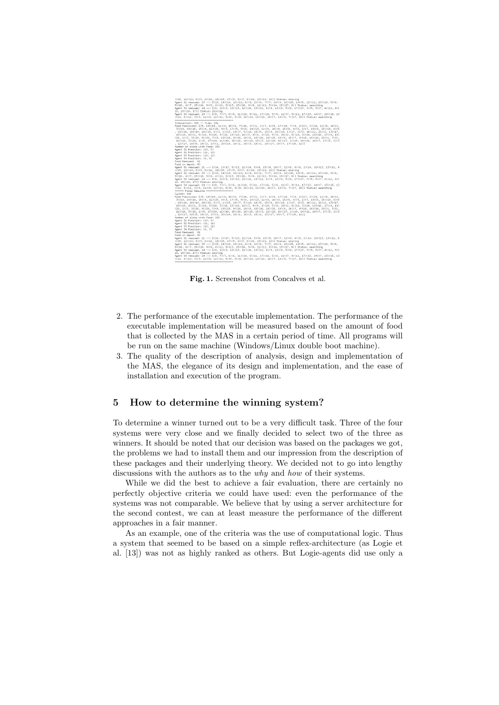

Fig. 1. Screenshot from Concalves et al.

- 2. The performance of the executable implementation. The performance of the executable implementation will be measured based on the amount of food that is collected by the MAS in a certain period of time. All programs will be run on the same machine (Windows/Linux double boot machine).
- 3. The quality of the description of analysis, design and implementation of the MAS, the elegance of its design and implementation, and the ease of installation and execution of the program.

# 5 How to determine the winning system?

To determine a winner turned out to be a very difficult task. Three of the four systems were very close and we finally decided to select two of the three as winners. It should be noted that our decision was based on the packages we got, the problems we had to install them and our impression from the description of these packages and their underlying theory. We decided not to go into lengthy discussions with the authors as to the *why* and *how* of their systems.

While we did the best to achieve a fair evaluation, there are certainly no perfectly objective criteria we could have used: even the performance of the systems was not comparable. We believe that by using a server architecture for the second contest, we can at least measure the performance of the different approaches in a fair manner.

As an example, one of the criteria was the use of computational logic. Thus a system that seemed to be based on a simple reflex-architecture (as Logie et al. [13]) was not as highly ranked as others. But Logie-agents did use only a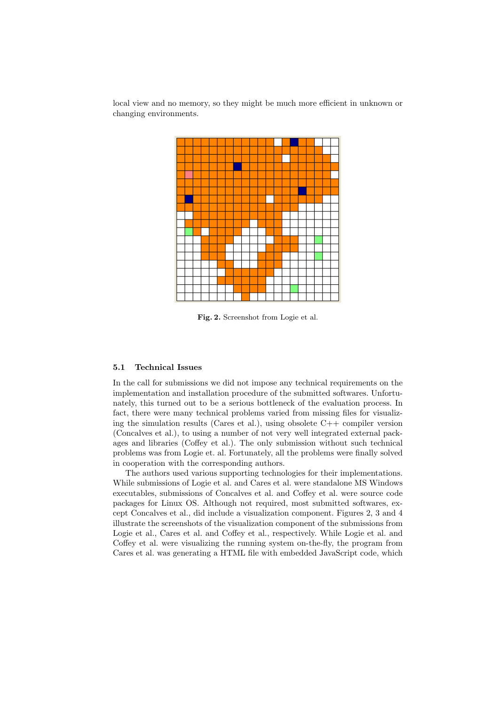local view and no memory, so they might be much more efficient in unknown or changing environments.



Fig. 2. Screenshot from Logie et al.

### 5.1 Technical Issues

In the call for submissions we did not impose any technical requirements on the implementation and installation procedure of the submitted softwares. Unfortunately, this turned out to be a serious bottleneck of the evaluation process. In fact, there were many technical problems varied from missing files for visualizing the simulation results (Cares et al.), using obsolete  $C++$  compiler version (Concalves et al.), to using a number of not very well integrated external packages and libraries (Coffey et al.). The only submission without such technical problems was from Logie et. al. Fortunately, all the problems were finally solved in cooperation with the corresponding authors.

The authors used various supporting technologies for their implementations. While submissions of Logie et al. and Cares et al. were standalone MS Windows executables, submissions of Concalves et al. and Coffey et al. were source code packages for Linux OS. Although not required, most submitted softwares, except Concalves et al., did include a visualization component. Figures 2, 3 and 4 illustrate the screenshots of the visualization component of the submissions from Logie et al., Cares et al. and Coffey et al., respectively. While Logie et al. and Coffey et al. were visualizing the running system on-the-fly, the program from Cares et al. was generating a HTML file with embedded JavaScript code, which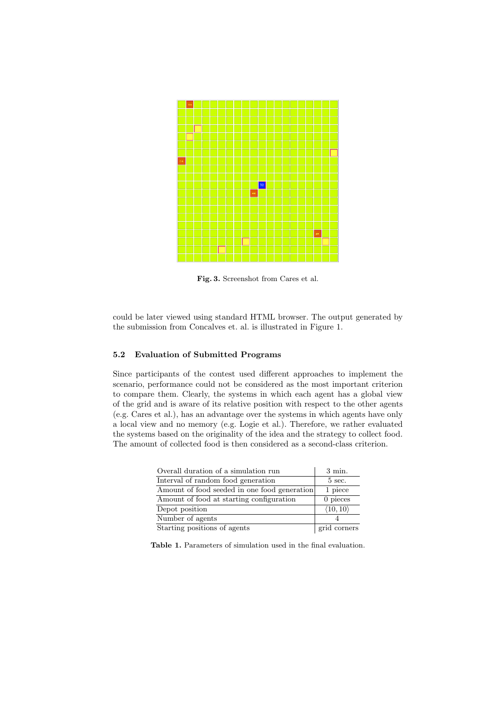

Fig. 3. Screenshot from Cares et al.

could be later viewed using standard HTML browser. The output generated by the submission from Concalves et. al. is illustrated in Figure 1.

# 5.2 Evaluation of Submitted Programs

Since participants of the contest used different approaches to implement the scenario, performance could not be considered as the most important criterion to compare them. Clearly, the systems in which each agent has a global view of the grid and is aware of its relative position with respect to the other agents (e.g. Cares et al.), has an advantage over the systems in which agents have only a local view and no memory (e.g. Logie et al.). Therefore, we rather evaluated the systems based on the originality of the idea and the strategy to collect food. The amount of collected food is then considered as a second-class criterion.

| Overall duration of a simulation run         | $3 \text{ min.}$         |
|----------------------------------------------|--------------------------|
| Interval of random food generation           | $5 \text{ sec.}$         |
| Amount of food seeded in one food generation | 1 piece                  |
| Amount of food at starting configuration     | $0$ pieces               |
| Depot position                               | $\langle 10, 10 \rangle$ |
| Number of agents                             |                          |
| Starting positions of agents                 | grid corners             |

Table 1. Parameters of simulation used in the final evaluation.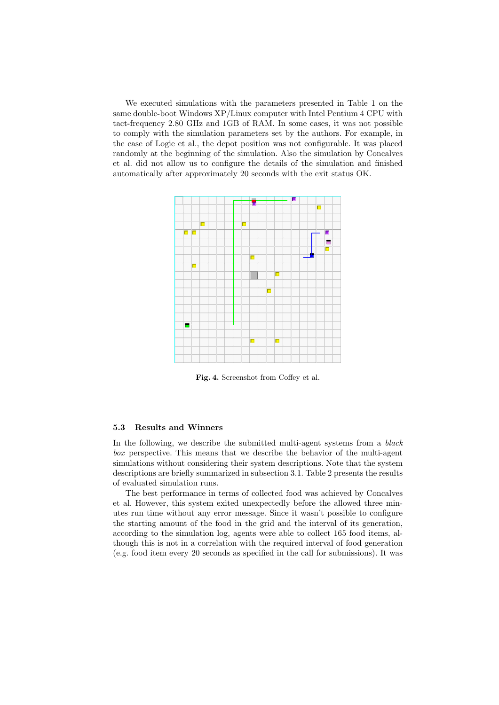We executed simulations with the parameters presented in Table 1 on the same double-boot Windows XP/Linux computer with Intel Pentium 4 CPU with tact-frequency 2.80 GHz and 1GB of RAM. In some cases, it was not possible to comply with the simulation parameters set by the authors. For example, in the case of Logie et al., the depot position was not configurable. It was placed randomly at the beginning of the simulation. Also the simulation by Concalves et al. did not allow us to configure the details of the simulation and finished automatically after approximately 20 seconds with the exit status OK.



Fig. 4. Screenshot from Coffey et al.

#### 5.3 Results and Winners

In the following, we describe the submitted multi-agent systems from a black box perspective. This means that we describe the behavior of the multi-agent simulations without considering their system descriptions. Note that the system descriptions are briefly summarized in subsection 3.1. Table 2 presents the results of evaluated simulation runs.

The best performance in terms of collected food was achieved by Concalves et al. However, this system exited unexpectedly before the allowed three minutes run time without any error message. Since it wasn't possible to configure the starting amount of the food in the grid and the interval of its generation, according to the simulation log, agents were able to collect 165 food items, although this is not in a correlation with the required interval of food generation (e.g. food item every 20 seconds as specified in the call for submissions). It was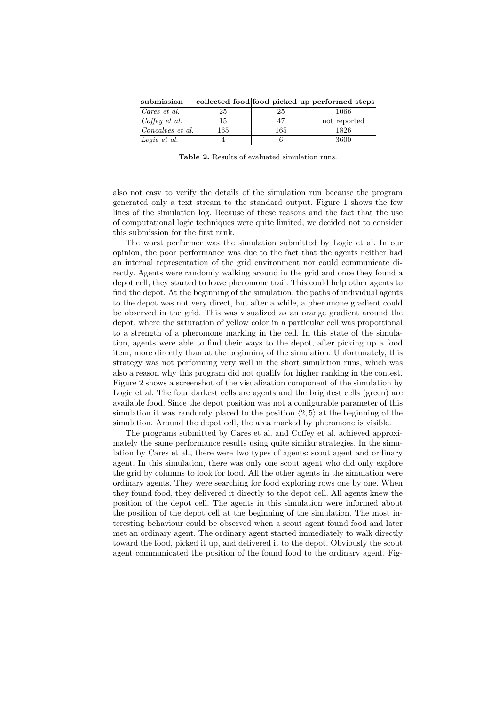| submission                         |     |     | collected food food picked up performed steps |
|------------------------------------|-----|-----|-----------------------------------------------|
| Cares et al.                       | 25  | 25  | 1066                                          |
| Coffey et al.                      | 15  | 47  | not reported                                  |
| $\overline{Concal}$ control et al. | 165 | 165 | 1826                                          |
| Logie et al.                       |     |     | 3600                                          |

Table 2. Results of evaluated simulation runs.

also not easy to verify the details of the simulation run because the program generated only a text stream to the standard output. Figure 1 shows the few lines of the simulation log. Because of these reasons and the fact that the use of computational logic techniques were quite limited, we decided not to consider this submission for the first rank.

The worst performer was the simulation submitted by Logie et al. In our opinion, the poor performance was due to the fact that the agents neither had an internal representation of the grid environment nor could communicate directly. Agents were randomly walking around in the grid and once they found a depot cell, they started to leave pheromone trail. This could help other agents to find the depot. At the beginning of the simulation, the paths of individual agents to the depot was not very direct, but after a while, a pheromone gradient could be observed in the grid. This was visualized as an orange gradient around the depot, where the saturation of yellow color in a particular cell was proportional to a strength of a pheromone marking in the cell. In this state of the simulation, agents were able to find their ways to the depot, after picking up a food item, more directly than at the beginning of the simulation. Unfortunately, this strategy was not performing very well in the short simulation runs, which was also a reason why this program did not qualify for higher ranking in the contest. Figure 2 shows a screenshot of the visualization component of the simulation by Logie et al. The four darkest cells are agents and the brightest cells (green) are available food. Since the depot position was not a configurable parameter of this simulation it was randomly placed to the position  $\langle 2, 5 \rangle$  at the beginning of the simulation. Around the depot cell, the area marked by pheromone is visible.

The programs submitted by Cares et al. and Coffey et al. achieved approximately the same performance results using quite similar strategies. In the simulation by Cares et al., there were two types of agents: scout agent and ordinary agent. In this simulation, there was only one scout agent who did only explore the grid by columns to look for food. All the other agents in the simulation were ordinary agents. They were searching for food exploring rows one by one. When they found food, they delivered it directly to the depot cell. All agents knew the position of the depot cell. The agents in this simulation were informed about the position of the depot cell at the beginning of the simulation. The most interesting behaviour could be observed when a scout agent found food and later met an ordinary agent. The ordinary agent started immediately to walk directly toward the food, picked it up, and delivered it to the depot. Obviously the scout agent communicated the position of the found food to the ordinary agent. Fig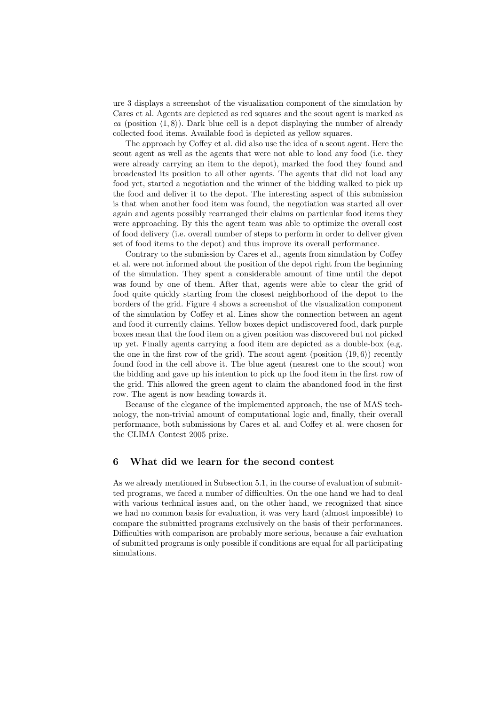ure 3 displays a screenshot of the visualization component of the simulation by Cares et al. Agents are depicted as red squares and the scout agent is marked as ca (position  $(1, 8)$ ). Dark blue cell is a depot displaying the number of already collected food items. Available food is depicted as yellow squares.

The approach by Coffey et al. did also use the idea of a scout agent. Here the scout agent as well as the agents that were not able to load any food (i.e. they were already carrying an item to the depot), marked the food they found and broadcasted its position to all other agents. The agents that did not load any food yet, started a negotiation and the winner of the bidding walked to pick up the food and deliver it to the depot. The interesting aspect of this submission is that when another food item was found, the negotiation was started all over again and agents possibly rearranged their claims on particular food items they were approaching. By this the agent team was able to optimize the overall cost of food delivery (i.e. overall number of steps to perform in order to deliver given set of food items to the depot) and thus improve its overall performance.

Contrary to the submission by Cares et al., agents from simulation by Coffey et al. were not informed about the position of the depot right from the beginning of the simulation. They spent a considerable amount of time until the depot was found by one of them. After that, agents were able to clear the grid of food quite quickly starting from the closest neighborhood of the depot to the borders of the grid. Figure 4 shows a screenshot of the visualization component of the simulation by Coffey et al. Lines show the connection between an agent and food it currently claims. Yellow boxes depict undiscovered food, dark purple boxes mean that the food item on a given position was discovered but not picked up yet. Finally agents carrying a food item are depicted as a double-box (e.g. the one in the first row of the grid). The scout agent (position  $\langle 19, 6 \rangle$ ) recently found food in the cell above it. The blue agent (nearest one to the scout) won the bidding and gave up his intention to pick up the food item in the first row of the grid. This allowed the green agent to claim the abandoned food in the first row. The agent is now heading towards it.

Because of the elegance of the implemented approach, the use of MAS technology, the non-trivial amount of computational logic and, finally, their overall performance, both submissions by Cares et al. and Coffey et al. were chosen for the CLIMA Contest 2005 prize.

# 6 What did we learn for the second contest

As we already mentioned in Subsection 5.1, in the course of evaluation of submitted programs, we faced a number of difficulties. On the one hand we had to deal with various technical issues and, on the other hand, we recognized that since we had no common basis for evaluation, it was very hard (almost impossible) to compare the submitted programs exclusively on the basis of their performances. Difficulties with comparison are probably more serious, because a fair evaluation of submitted programs is only possible if conditions are equal for all participating simulations.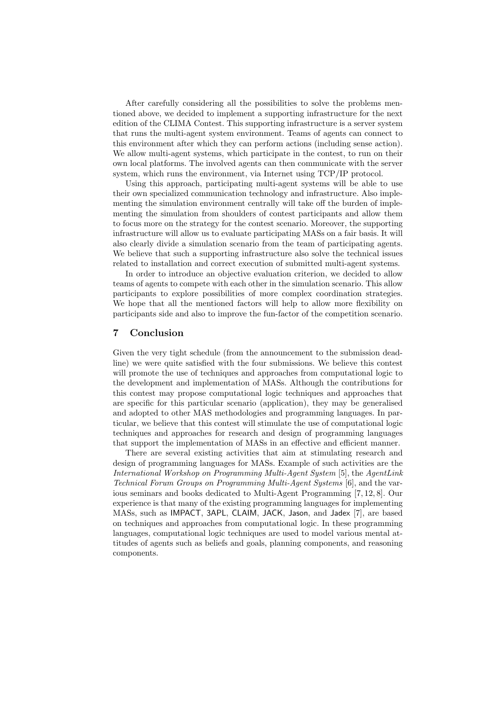After carefully considering all the possibilities to solve the problems mentioned above, we decided to implement a supporting infrastructure for the next edition of the CLIMA Contest. This supporting infrastructure is a server system that runs the multi-agent system environment. Teams of agents can connect to this environment after which they can perform actions (including sense action). We allow multi-agent systems, which participate in the contest, to run on their own local platforms. The involved agents can then communicate with the server system, which runs the environment, via Internet using TCP/IP protocol.

Using this approach, participating multi-agent systems will be able to use their own specialized communication technology and infrastructure. Also implementing the simulation environment centrally will take off the burden of implementing the simulation from shoulders of contest participants and allow them to focus more on the strategy for the contest scenario. Moreover, the supporting infrastructure will allow us to evaluate participating MASs on a fair basis. It will also clearly divide a simulation scenario from the team of participating agents. We believe that such a supporting infrastructure also solve the technical issues related to installation and correct execution of submitted multi-agent systems.

In order to introduce an objective evaluation criterion, we decided to allow teams of agents to compete with each other in the simulation scenario. This allow participants to explore possibilities of more complex coordination strategies. We hope that all the mentioned factors will help to allow more flexibility on participants side and also to improve the fun-factor of the competition scenario.

# 7 Conclusion

Given the very tight schedule (from the announcement to the submission deadline) we were quite satisfied with the four submissions. We believe this contest will promote the use of techniques and approaches from computational logic to the development and implementation of MASs. Although the contributions for this contest may propose computational logic techniques and approaches that are specific for this particular scenario (application), they may be generalised and adopted to other MAS methodologies and programming languages. In particular, we believe that this contest will stimulate the use of computational logic techniques and approaches for research and design of programming languages that support the implementation of MASs in an effective and efficient manner.

There are several existing activities that aim at stimulating research and design of programming languages for MASs. Example of such activities are the International Workshop on Programming Multi-Agent System [5], the AgentLink Technical Forum Groups on Programming Multi-Agent Systems [6], and the various seminars and books dedicated to Multi-Agent Programming [7, 12, 8]. Our experience is that many of the existing programming languages for implementing MASs, such as IMPACT, 3APL, CLAIM, JACK, Jason, and Jadex [7], are based on techniques and approaches from computational logic. In these programming languages, computational logic techniques are used to model various mental attitudes of agents such as beliefs and goals, planning components, and reasoning components.